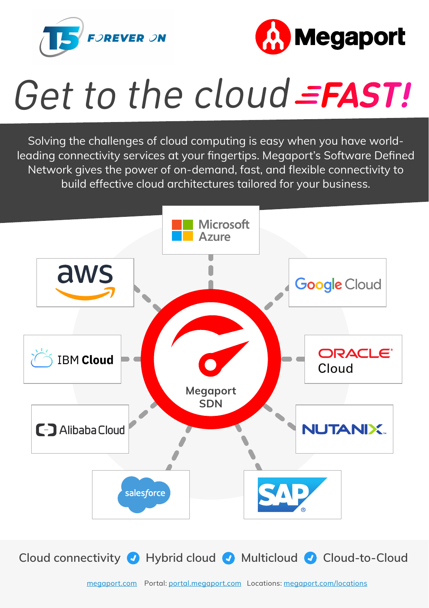



## Get to the cloud =FAST!

Solving the challenges of cloud computing is easy when you have worldleading connectivity services at your fingertips. Megaport's Software Defined Network gives the power of on-demand, fast, and flexible connectivity to build effective cloud architectures tailored for your business.



Cloud connectivity **O** Hybrid cloud **O** Multicloud **O** Cloud-to-Cloud